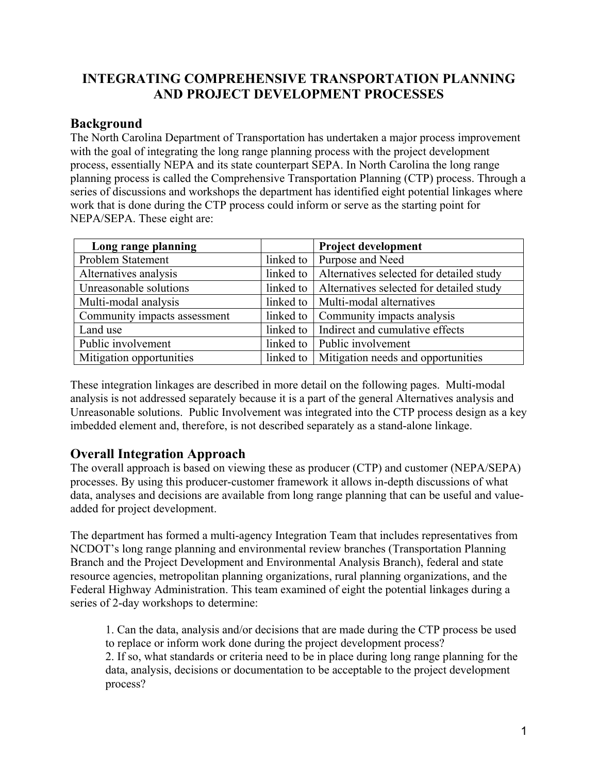# **INTEGRATING COMPREHENSIVE TRANSPORTATION PLANNING AND PROJECT DEVELOPMENT PROCESSES**

# **Background**

The North Carolina Department of Transportation has undertaken a major process improvement with the goal of integrating the long range planning process with the project development process, essentially NEPA and its state counterpart SEPA. In North Carolina the long range planning process is called the Comprehensive Transportation Planning (CTP) process. Through a series of discussions and workshops the department has identified eight potential linkages where work that is done during the CTP process could inform or serve as the starting point for NEPA/SEPA. These eight are:

| Long range planning          |           | <b>Project development</b>               |
|------------------------------|-----------|------------------------------------------|
| Problem Statement            |           | linked to   Purpose and Need             |
| Alternatives analysis        | linked to | Alternatives selected for detailed study |
| Unreasonable solutions       | linked to | Alternatives selected for detailed study |
| Multi-modal analysis         | linked to | Multi-modal alternatives                 |
| Community impacts assessment | linked to | Community impacts analysis               |
| Land use                     | linked to | Indirect and cumulative effects          |
| Public involvement           |           | linked to   Public involvement           |
| Mitigation opportunities     | linked to | Mitigation needs and opportunities       |

These integration linkages are described in more detail on the following pages. Multi-modal analysis is not addressed separately because it is a part of the general Alternatives analysis and Unreasonable solutions. Public Involvement was integrated into the CTP process design as a key imbedded element and, therefore, is not described separately as a stand-alone linkage.

# **Overall Integration Approach**

The overall approach is based on viewing these as producer (CTP) and customer (NEPA/SEPA) processes. By using this producer-customer framework it allows in-depth discussions of what data, analyses and decisions are available from long range planning that can be useful and valueadded for project development.

The department has formed a multi-agency Integration Team that includes representatives from NCDOT's long range planning and environmental review branches (Transportation Planning Branch and the Project Development and Environmental Analysis Branch), federal and state resource agencies, metropolitan planning organizations, rural planning organizations, and the Federal Highway Administration. This team examined of eight the potential linkages during a series of 2-day workshops to determine:

1. Can the data, analysis and/or decisions that are made during the CTP process be used to replace or inform work done during the project development process? 2. If so, what standards or criteria need to be in place during long range planning for the data, analysis, decisions or documentation to be acceptable to the project development process?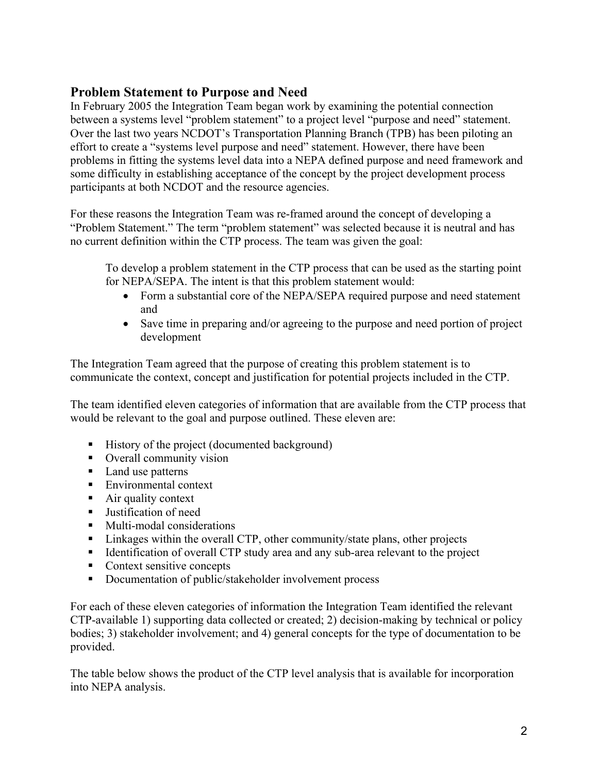# **Problem Statement to Purpose and Need**

In February 2005 the Integration Team began work by examining the potential connection between a systems level "problem statement" to a project level "purpose and need" statement. Over the last two years NCDOT's Transportation Planning Branch (TPB) has been piloting an effort to create a "systems level purpose and need" statement. However, there have been problems in fitting the systems level data into a NEPA defined purpose and need framework and some difficulty in establishing acceptance of the concept by the project development process participants at both NCDOT and the resource agencies.

For these reasons the Integration Team was re-framed around the concept of developing a "Problem Statement." The term "problem statement" was selected because it is neutral and has no current definition within the CTP process. The team was given the goal:

To develop a problem statement in the CTP process that can be used as the starting point for NEPA/SEPA. The intent is that this problem statement would:

- Form a substantial core of the NEPA/SEPA required purpose and need statement and
- Save time in preparing and/or agreeing to the purpose and need portion of project development

The Integration Team agreed that the purpose of creating this problem statement is to communicate the context, concept and justification for potential projects included in the CTP.

The team identified eleven categories of information that are available from the CTP process that would be relevant to the goal and purpose outlined. These eleven are:

- History of the project (documented background)
- Overall community vision
- Land use patterns
- Environmental context
- Air quality context
- **Justification of need**
- **Multi-modal considerations**
- Linkages within the overall CTP, other community/state plans, other projects
- Identification of overall CTP study area and any sub-area relevant to the project
- Context sensitive concepts
- Documentation of public/stakeholder involvement process

For each of these eleven categories of information the Integration Team identified the relevant CTP-available 1) supporting data collected or created; 2) decision-making by technical or policy bodies; 3) stakeholder involvement; and 4) general concepts for the type of documentation to be provided.

The table below shows the product of the CTP level analysis that is available for incorporation into NEPA analysis.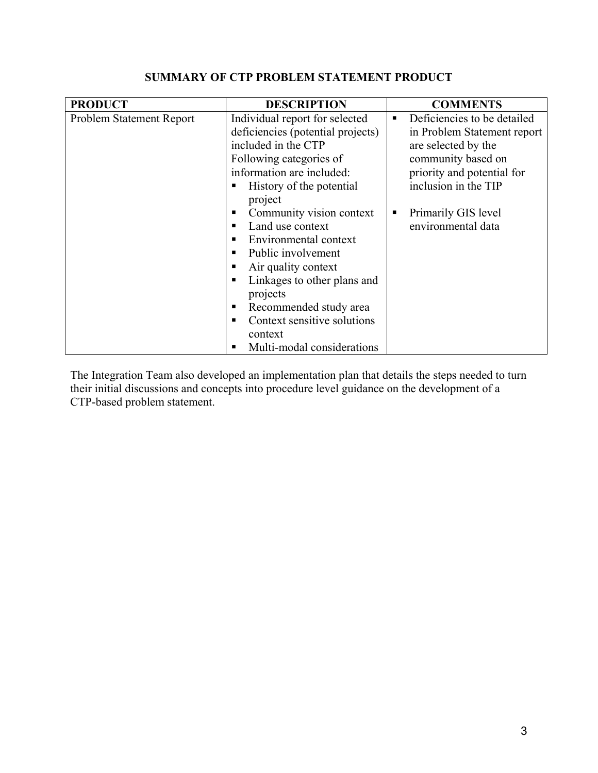| <b>PRODUCT</b>           | <b>DESCRIPTION</b>                |   | <b>COMMENTS</b>             |
|--------------------------|-----------------------------------|---|-----------------------------|
| Problem Statement Report | Individual report for selected    | ٠ | Deficiencies to be detailed |
|                          | deficiencies (potential projects) |   | in Problem Statement report |
|                          | included in the CTP               |   | are selected by the         |
|                          | Following categories of           |   | community based on          |
|                          | information are included:         |   | priority and potential for  |
|                          | History of the potential          |   | inclusion in the TIP        |
|                          | project                           |   |                             |
|                          | Community vision context<br>п     | п | Primarily GIS level         |
|                          | Land use context<br>п             |   | environmental data          |
|                          | Environmental context<br>п        |   |                             |
|                          | Public involvement<br>٠           |   |                             |
|                          | Air quality context<br>п          |   |                             |
|                          | Linkages to other plans and<br>п  |   |                             |
|                          | projects                          |   |                             |
|                          | Recommended study area<br>п       |   |                             |
|                          | Context sensitive solutions       |   |                             |
|                          | context                           |   |                             |
|                          | Multi-modal considerations<br>п   |   |                             |

# **SUMMARY OF CTP PROBLEM STATEMENT PRODUCT**

The Integration Team also developed an implementation plan that details the steps needed to turn their initial discussions and concepts into procedure level guidance on the development of a CTP-based problem statement.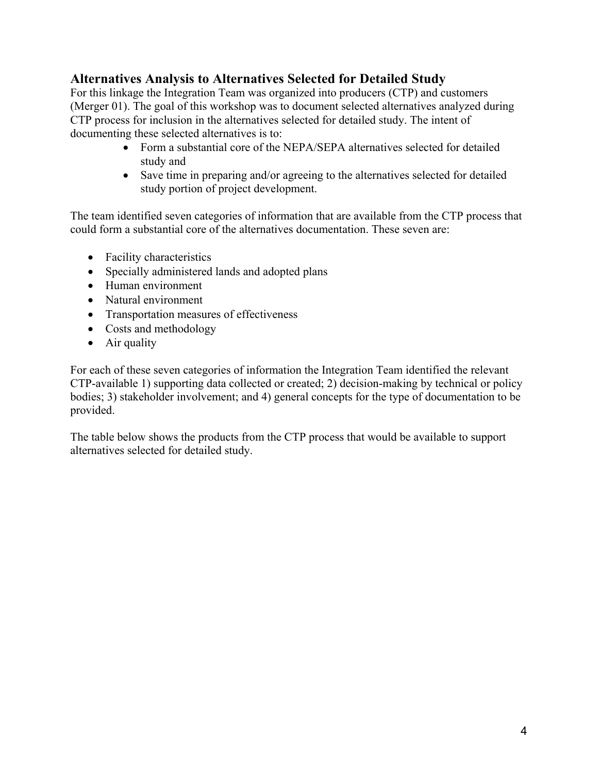# **Alternatives Analysis to Alternatives Selected for Detailed Study**

For this linkage the Integration Team was organized into producers (CTP) and customers (Merger 01). The goal of this workshop was to document selected alternatives analyzed during CTP process for inclusion in the alternatives selected for detailed study. The intent of documenting these selected alternatives is to:

- Form a substantial core of the NEPA/SEPA alternatives selected for detailed study and
- Save time in preparing and/or agreeing to the alternatives selected for detailed study portion of project development.

The team identified seven categories of information that are available from the CTP process that could form a substantial core of the alternatives documentation. These seven are:

- Facility characteristics
- Specially administered lands and adopted plans
- Human environment
- Natural environment
- Transportation measures of effectiveness
- Costs and methodology
- Air quality

For each of these seven categories of information the Integration Team identified the relevant CTP-available 1) supporting data collected or created; 2) decision-making by technical or policy bodies; 3) stakeholder involvement; and 4) general concepts for the type of documentation to be provided.

The table below shows the products from the CTP process that would be available to support alternatives selected for detailed study.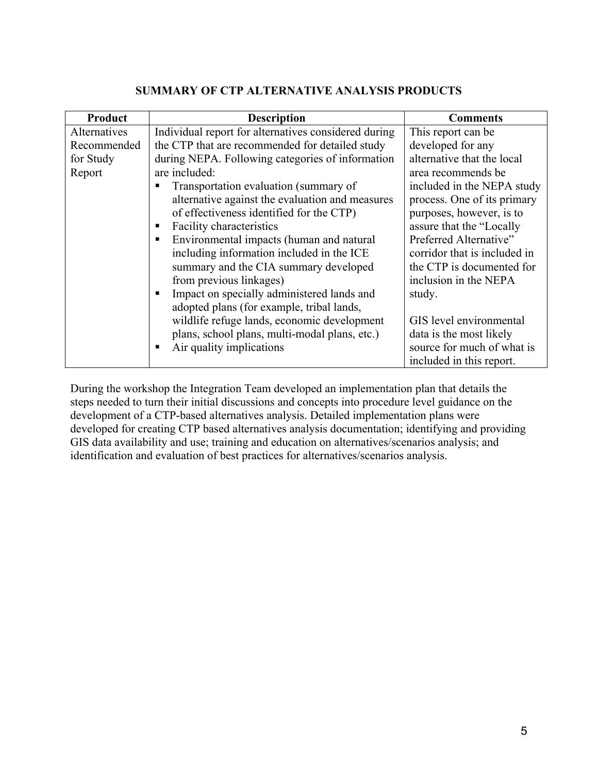| Product      | <b>Description</b>                                   | <b>Comments</b>              |
|--------------|------------------------------------------------------|------------------------------|
| Alternatives | Individual report for alternatives considered during | This report can be           |
| Recommended  | the CTP that are recommended for detailed study      | developed for any            |
| for Study    | during NEPA. Following categories of information     | alternative that the local   |
| Report       | are included:                                        | area recommends be           |
|              | Transportation evaluation (summary of<br>п           | included in the NEPA study   |
|              | alternative against the evaluation and measures      | process. One of its primary  |
|              | of effectiveness identified for the CTP)             | purposes, however, is to     |
|              | Facility characteristics<br>п                        | assure that the "Locally     |
|              | Environmental impacts (human and natural             | Preferred Alternative"       |
|              | including information included in the ICE            | corridor that is included in |
|              | summary and the CIA summary developed                | the CTP is documented for    |
|              | from previous linkages)                              | inclusion in the NEPA        |
|              | Impact on specially administered lands and<br>п      | study.                       |
|              | adopted plans (for example, tribal lands,            |                              |
|              | wildlife refuge lands, economic development          | GIS level environmental      |
|              | plans, school plans, multi-modal plans, etc.)        | data is the most likely      |
|              | Air quality implications<br>п                        | source for much of what is   |
|              |                                                      | included in this report.     |

#### **SUMMARY OF CTP ALTERNATIVE ANALYSIS PRODUCTS**

During the workshop the Integration Team developed an implementation plan that details the steps needed to turn their initial discussions and concepts into procedure level guidance on the development of a CTP-based alternatives analysis. Detailed implementation plans were developed for creating CTP based alternatives analysis documentation; identifying and providing GIS data availability and use; training and education on alternatives/scenarios analysis; and identification and evaluation of best practices for alternatives/scenarios analysis.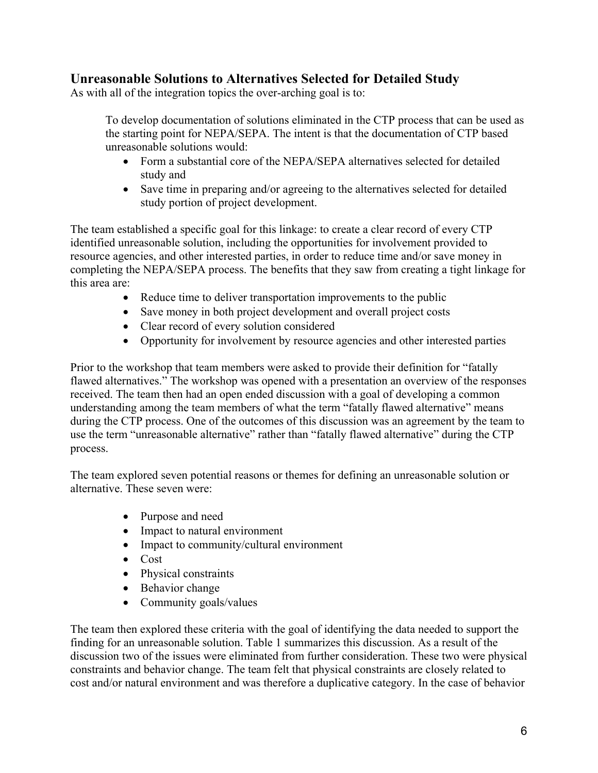# **Unreasonable Solutions to Alternatives Selected for Detailed Study**

As with all of the integration topics the over-arching goal is to:

To develop documentation of solutions eliminated in the CTP process that can be used as the starting point for NEPA/SEPA. The intent is that the documentation of CTP based unreasonable solutions would:

- Form a substantial core of the NEPA/SEPA alternatives selected for detailed study and
- Save time in preparing and/or agreeing to the alternatives selected for detailed study portion of project development.

The team established a specific goal for this linkage: to create a clear record of every CTP identified unreasonable solution, including the opportunities for involvement provided to resource agencies, and other interested parties, in order to reduce time and/or save money in completing the NEPA/SEPA process. The benefits that they saw from creating a tight linkage for this area are:

- Reduce time to deliver transportation improvements to the public
- Save money in both project development and overall project costs
- Clear record of every solution considered
- Opportunity for involvement by resource agencies and other interested parties

Prior to the workshop that team members were asked to provide their definition for "fatally flawed alternatives." The workshop was opened with a presentation an overview of the responses received. The team then had an open ended discussion with a goal of developing a common understanding among the team members of what the term "fatally flawed alternative" means during the CTP process. One of the outcomes of this discussion was an agreement by the team to use the term "unreasonable alternative" rather than "fatally flawed alternative" during the CTP process.

The team explored seven potential reasons or themes for defining an unreasonable solution or alternative. These seven were:

- Purpose and need
- Impact to natural environment
- Impact to community/cultural environment
- Cost
- Physical constraints
- Behavior change
- Community goals/values

The team then explored these criteria with the goal of identifying the data needed to support the finding for an unreasonable solution. Table 1 summarizes this discussion. As a result of the discussion two of the issues were eliminated from further consideration. These two were physical constraints and behavior change. The team felt that physical constraints are closely related to cost and/or natural environment and was therefore a duplicative category. In the case of behavior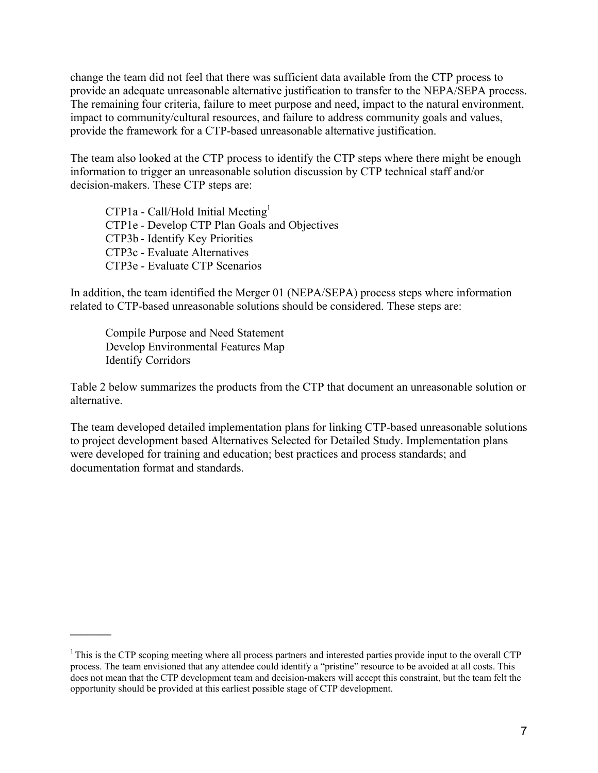change the team did not feel that there was sufficient data available from the CTP process to provide an adequate unreasonable alternative justification to transfer to the NEPA/SEPA process. The remaining four criteria, failure to meet purpose and need, impact to the natural environment, impact to community/cultural resources, and failure to address community goals and values, provide the framework for a CTP-based unreasonable alternative justification.

The team also looked at the CTP process to identify the CTP steps where there might be enough information to trigger an unreasonable solution discussion by CTP technical staff and/or decision-makers. These CTP steps are:

 $CTP1a - Call/Hold Initial Meeting<sup>1</sup>$  CTP1e - Develop CTP Plan Goals and Objectives CTP3b - Identify Key Priorities CTP3c - Evaluate Alternatives CTP3e - Evaluate CTP Scenarios

In addition, the team identified the Merger 01 (NEPA/SEPA) process steps where information related to CTP-based unreasonable solutions should be considered. These steps are:

 Compile Purpose and Need Statement Develop Environmental Features Map Identify Corridors

**\_\_\_\_\_\_\_** 

Table 2 below summarizes the products from the CTP that document an unreasonable solution or alternative.

The team developed detailed implementation plans for linking CTP-based unreasonable solutions to project development based Alternatives Selected for Detailed Study. Implementation plans were developed for training and education; best practices and process standards; and documentation format and standards.

 $1$ This is the CTP scoping meeting where all process partners and interested parties provide input to the overall CTP process. The team envisioned that any attendee could identify a "pristine" resource to be avoided at all costs. This does not mean that the CTP development team and decision-makers will accept this constraint, but the team felt the opportunity should be provided at this earliest possible stage of CTP development.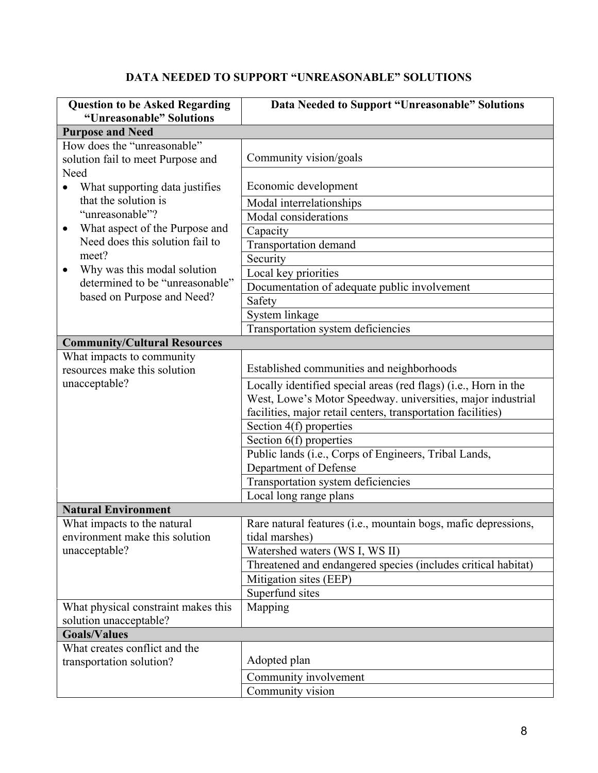# **DATA NEEDED TO SUPPORT "UNREASONABLE" SOLUTIONS**

| <b>Question to be Asked Regarding</b>                                    | Data Needed to Support "Unreasonable" Solutions                                                                                                                                                |  |
|--------------------------------------------------------------------------|------------------------------------------------------------------------------------------------------------------------------------------------------------------------------------------------|--|
| "Unreasonable" Solutions                                                 |                                                                                                                                                                                                |  |
| <b>Purpose and Need</b>                                                  |                                                                                                                                                                                                |  |
| How does the "unreasonable"<br>solution fail to meet Purpose and<br>Need | Community vision/goals                                                                                                                                                                         |  |
| What supporting data justifies<br>$\bullet$<br>that the solution is      | Economic development<br>Modal interrelationships                                                                                                                                               |  |
| "unreasonable"?                                                          | Modal considerations                                                                                                                                                                           |  |
| What aspect of the Purpose and<br>٠                                      | Capacity                                                                                                                                                                                       |  |
| Need does this solution fail to                                          | <b>Transportation demand</b>                                                                                                                                                                   |  |
| meet?                                                                    | Security                                                                                                                                                                                       |  |
| Why was this modal solution<br>$\bullet$                                 | Local key priorities                                                                                                                                                                           |  |
| determined to be "unreasonable"                                          | Documentation of adequate public involvement                                                                                                                                                   |  |
| based on Purpose and Need?                                               | Safety                                                                                                                                                                                         |  |
|                                                                          | System linkage                                                                                                                                                                                 |  |
|                                                                          | Transportation system deficiencies                                                                                                                                                             |  |
| <b>Community/Cultural Resources</b>                                      |                                                                                                                                                                                                |  |
| What impacts to community                                                |                                                                                                                                                                                                |  |
| resources make this solution                                             | Established communities and neighborhoods                                                                                                                                                      |  |
| unacceptable?                                                            | Locally identified special areas (red flags) (i.e., Horn in the<br>West, Lowe's Motor Speedway. universities, major industrial<br>facilities, major retail centers, transportation facilities) |  |
|                                                                          | Section 4(f) properties                                                                                                                                                                        |  |
|                                                                          | Section 6(f) properties<br>Public lands (i.e., Corps of Engineers, Tribal Lands,                                                                                                               |  |
|                                                                          | Department of Defense                                                                                                                                                                          |  |
|                                                                          | Transportation system deficiencies                                                                                                                                                             |  |
|                                                                          | Local long range plans                                                                                                                                                                         |  |
| <b>Natural Environment</b>                                               |                                                                                                                                                                                                |  |
| What impacts to the natural<br>environment make this solution            | Rare natural features (i.e., mountain bogs, mafic depressions,<br>tidal marshes)                                                                                                               |  |
| unacceptable?                                                            | Watershed waters (WS I, WS II)                                                                                                                                                                 |  |
|                                                                          | Threatened and endangered species (includes critical habitat)                                                                                                                                  |  |
|                                                                          | Mitigation sites (EEP)                                                                                                                                                                         |  |
|                                                                          | Superfund sites                                                                                                                                                                                |  |
| What physical constraint makes this<br>solution unacceptable?            | Mapping                                                                                                                                                                                        |  |
| <b>Goals/Values</b>                                                      |                                                                                                                                                                                                |  |
| What creates conflict and the<br>transportation solution?                | Adopted plan                                                                                                                                                                                   |  |
|                                                                          | Community involvement                                                                                                                                                                          |  |
|                                                                          | Community vision                                                                                                                                                                               |  |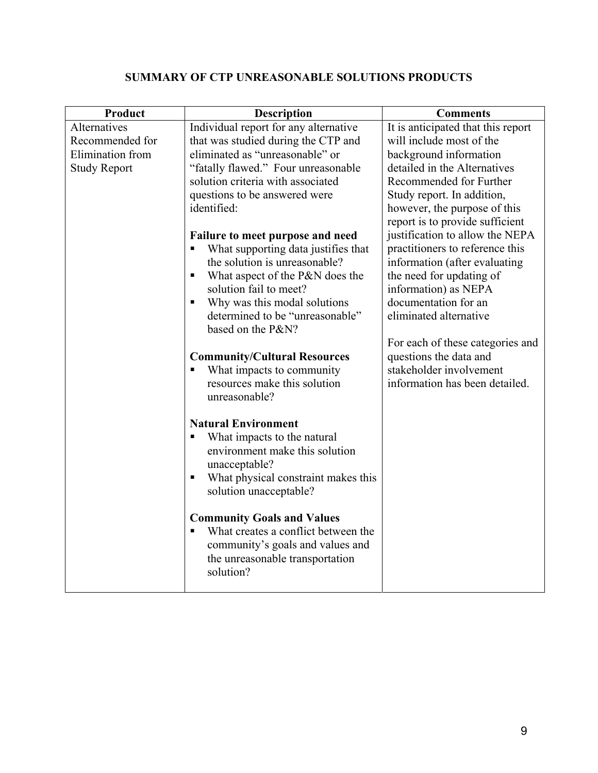# **SUMMARY OF CTP UNREASONABLE SOLUTIONS PRODUCTS**

| Product             | <b>Description</b>                                   | <b>Comments</b>                    |
|---------------------|------------------------------------------------------|------------------------------------|
| Alternatives        | Individual report for any alternative                | It is anticipated that this report |
| Recommended for     | that was studied during the CTP and                  | will include most of the           |
| Elimination from    | eliminated as "unreasonable" or                      | background information             |
| <b>Study Report</b> | "fatally flawed." Four unreasonable                  | detailed in the Alternatives       |
|                     | solution criteria with associated                    | Recommended for Further            |
|                     | questions to be answered were                        | Study report. In addition,         |
|                     | identified:                                          | however, the purpose of this       |
|                     |                                                      | report is to provide sufficient    |
|                     | Failure to meet purpose and need                     | justification to allow the NEPA    |
|                     | What supporting data justifies that                  | practitioners to reference this    |
|                     | the solution is unreasonable?                        | information (after evaluating      |
|                     | What aspect of the P&N does the                      | the need for updating of           |
|                     | solution fail to meet?                               | information) as NEPA               |
|                     | Why was this modal solutions<br>٠                    | documentation for an               |
|                     | determined to be "unreasonable"<br>based on the P&N? | eliminated alternative             |
|                     |                                                      | For each of these categories and   |
|                     | <b>Community/Cultural Resources</b>                  | questions the data and             |
|                     | What impacts to community                            | stakeholder involvement            |
|                     | resources make this solution                         | information has been detailed.     |
|                     | unreasonable?                                        |                                    |
|                     | <b>Natural Environment</b>                           |                                    |
|                     | What impacts to the natural                          |                                    |
|                     | environment make this solution                       |                                    |
|                     | unacceptable?                                        |                                    |
|                     | What physical constraint makes this<br>п             |                                    |
|                     | solution unacceptable?                               |                                    |
|                     | <b>Community Goals and Values</b>                    |                                    |
|                     | What creates a conflict between the                  |                                    |
|                     | community's goals and values and                     |                                    |
|                     | the unreasonable transportation                      |                                    |
|                     | solution?                                            |                                    |
|                     |                                                      |                                    |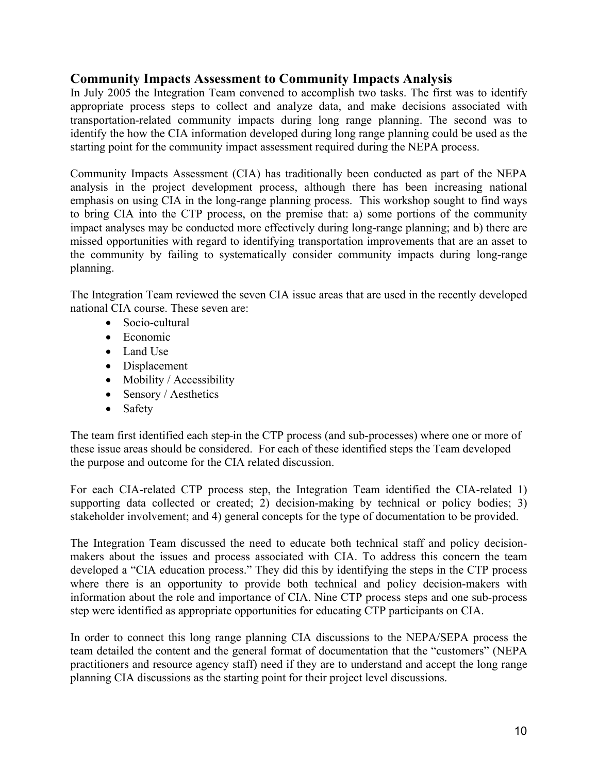### **Community Impacts Assessment to Community Impacts Analysis**

In July 2005 the Integration Team convened to accomplish two tasks. The first was to identify appropriate process steps to collect and analyze data, and make decisions associated with transportation-related community impacts during long range planning. The second was to identify the how the CIA information developed during long range planning could be used as the starting point for the community impact assessment required during the NEPA process.

Community Impacts Assessment (CIA) has traditionally been conducted as part of the NEPA analysis in the project development process, although there has been increasing national emphasis on using CIA in the long-range planning process. This workshop sought to find ways to bring CIA into the CTP process, on the premise that: a) some portions of the community impact analyses may be conducted more effectively during long-range planning; and b) there are missed opportunities with regard to identifying transportation improvements that are an asset to the community by failing to systematically consider community impacts during long-range planning.

The Integration Team reviewed the seven CIA issue areas that are used in the recently developed national CIA course. These seven are:

- Socio-cultural
- Economic
- Land Use
- Displacement
- Mobility / Accessibility
- Sensory / Aesthetics
- Safety

The team first identified each step-in the CTP process (and sub-processes) where one or more of these issue areas should be considered. For each of these identified steps the Team developed the purpose and outcome for the CIA related discussion.

For each CIA-related CTP process step, the Integration Team identified the CIA-related 1) supporting data collected or created; 2) decision-making by technical or policy bodies; 3) stakeholder involvement; and 4) general concepts for the type of documentation to be provided.

The Integration Team discussed the need to educate both technical staff and policy decisionmakers about the issues and process associated with CIA. To address this concern the team developed a "CIA education process." They did this by identifying the steps in the CTP process where there is an opportunity to provide both technical and policy decision-makers with information about the role and importance of CIA. Nine CTP process steps and one sub-process step were identified as appropriate opportunities for educating CTP participants on CIA.

In order to connect this long range planning CIA discussions to the NEPA/SEPA process the team detailed the content and the general format of documentation that the "customers" (NEPA practitioners and resource agency staff) need if they are to understand and accept the long range planning CIA discussions as the starting point for their project level discussions.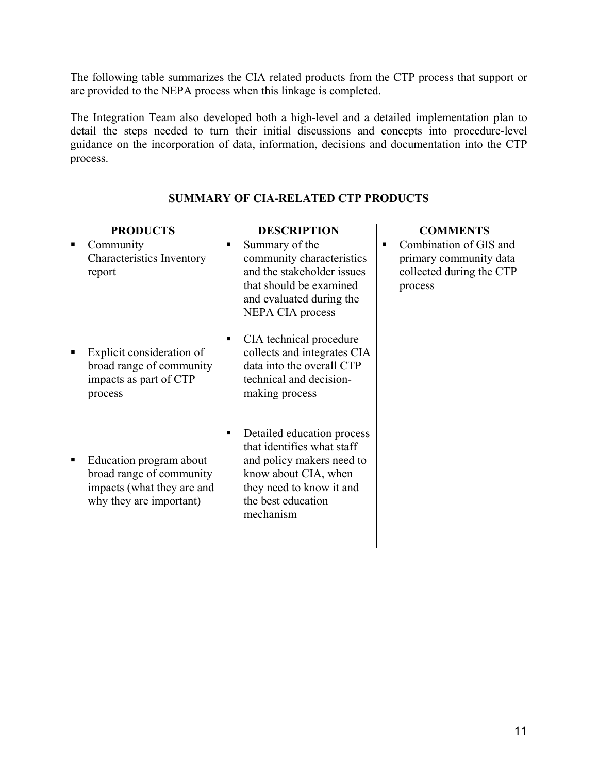The following table summarizes the CIA related products from the CTP process that support or are provided to the NEPA process when this linkage is completed.

The Integration Team also developed both a high-level and a detailed implementation plan to detail the steps needed to turn their initial discussions and concepts into procedure-level guidance on the incorporation of data, information, decisions and documentation into the CTP process.

|   | <b>PRODUCTS</b>                                                                                              | <b>DESCRIPTION</b>                                                                                                                                                                | <b>COMMENTS</b>                                                                              |
|---|--------------------------------------------------------------------------------------------------------------|-----------------------------------------------------------------------------------------------------------------------------------------------------------------------------------|----------------------------------------------------------------------------------------------|
| ■ | Community<br>Characteristics Inventory<br>report                                                             | Summary of the<br>٠<br>community characteristics<br>and the stakeholder issues<br>that should be examined<br>and evaluated during the<br><b>NEPA CIA</b> process                  | Combination of GIS and<br>٠<br>primary community data<br>collected during the CTP<br>process |
|   | Explicit consideration of<br>broad range of community<br>impacts as part of CTP<br>process                   | CIA technical procedure<br>٠<br>collects and integrates CIA<br>data into the overall CTP<br>technical and decision-<br>making process                                             |                                                                                              |
| п | Education program about<br>broad range of community<br>impacts (what they are and<br>why they are important) | Detailed education process<br>п<br>that identifies what staff<br>and policy makers need to<br>know about CIA, when<br>they need to know it and<br>the best education<br>mechanism |                                                                                              |

### **SUMMARY OF CIA-RELATED CTP PRODUCTS**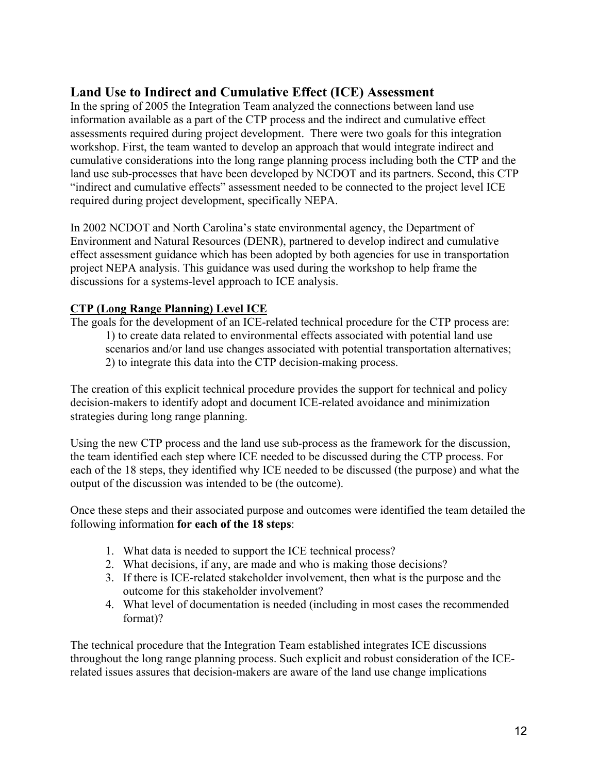# **Land Use to Indirect and Cumulative Effect (ICE) Assessment**

In the spring of 2005 the Integration Team analyzed the connections between land use information available as a part of the CTP process and the indirect and cumulative effect assessments required during project development. There were two goals for this integration workshop. First, the team wanted to develop an approach that would integrate indirect and cumulative considerations into the long range planning process including both the CTP and the land use sub-processes that have been developed by NCDOT and its partners. Second, this CTP "indirect and cumulative effects" assessment needed to be connected to the project level ICE required during project development, specifically NEPA.

In 2002 NCDOT and North Carolina's state environmental agency, the Department of Environment and Natural Resources (DENR), partnered to develop indirect and cumulative effect assessment guidance which has been adopted by both agencies for use in transportation project NEPA analysis. This guidance was used during the workshop to help frame the discussions for a systems-level approach to ICE analysis.

### **CTP (Long Range Planning) Level ICE**

The goals for the development of an ICE-related technical procedure for the CTP process are: 1) to create data related to environmental effects associated with potential land use scenarios and/or land use changes associated with potential transportation alternatives; 2) to integrate this data into the CTP decision-making process.

The creation of this explicit technical procedure provides the support for technical and policy decision-makers to identify adopt and document ICE-related avoidance and minimization strategies during long range planning.

Using the new CTP process and the land use sub-process as the framework for the discussion, the team identified each step where ICE needed to be discussed during the CTP process. For each of the 18 steps, they identified why ICE needed to be discussed (the purpose) and what the output of the discussion was intended to be (the outcome).

Once these steps and their associated purpose and outcomes were identified the team detailed the following information **for each of the 18 steps**:

- 1. What data is needed to support the ICE technical process?
- 2. What decisions, if any, are made and who is making those decisions?
- 3. If there is ICE-related stakeholder involvement, then what is the purpose and the outcome for this stakeholder involvement?
- 4. What level of documentation is needed (including in most cases the recommended format)?

The technical procedure that the Integration Team established integrates ICE discussions throughout the long range planning process. Such explicit and robust consideration of the ICErelated issues assures that decision-makers are aware of the land use change implications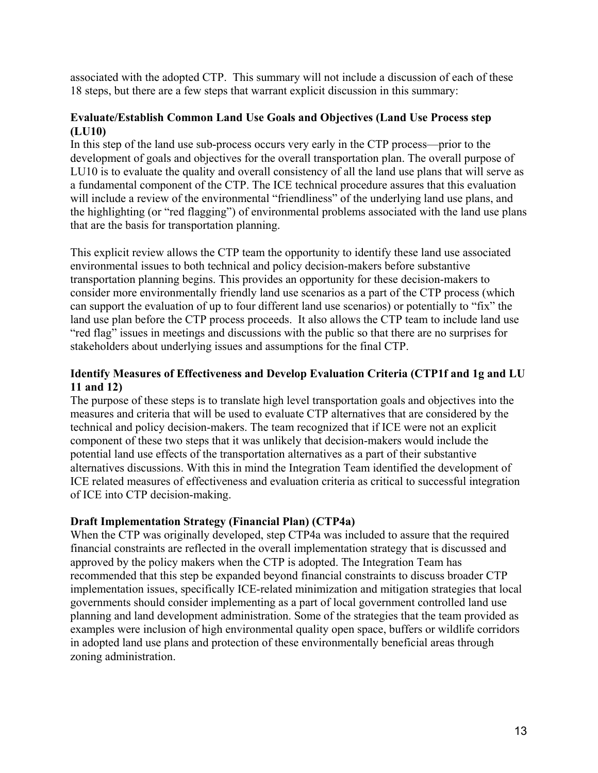associated with the adopted CTP. This summary will not include a discussion of each of these 18 steps, but there are a few steps that warrant explicit discussion in this summary:

### **Evaluate/Establish Common Land Use Goals and Objectives (Land Use Process step (LU10)**

In this step of the land use sub-process occurs very early in the CTP process—prior to the development of goals and objectives for the overall transportation plan. The overall purpose of LU10 is to evaluate the quality and overall consistency of all the land use plans that will serve as a fundamental component of the CTP. The ICE technical procedure assures that this evaluation will include a review of the environmental "friendliness" of the underlying land use plans, and the highlighting (or "red flagging") of environmental problems associated with the land use plans that are the basis for transportation planning.

This explicit review allows the CTP team the opportunity to identify these land use associated environmental issues to both technical and policy decision-makers before substantive transportation planning begins. This provides an opportunity for these decision-makers to consider more environmentally friendly land use scenarios as a part of the CTP process (which can support the evaluation of up to four different land use scenarios) or potentially to "fix" the land use plan before the CTP process proceeds. It also allows the CTP team to include land use "red flag" issues in meetings and discussions with the public so that there are no surprises for stakeholders about underlying issues and assumptions for the final CTP.

### **Identify Measures of Effectiveness and Develop Evaluation Criteria (CTP1f and 1g and LU 11 and 12)**

The purpose of these steps is to translate high level transportation goals and objectives into the measures and criteria that will be used to evaluate CTP alternatives that are considered by the technical and policy decision-makers. The team recognized that if ICE were not an explicit component of these two steps that it was unlikely that decision-makers would include the potential land use effects of the transportation alternatives as a part of their substantive alternatives discussions. With this in mind the Integration Team identified the development of ICE related measures of effectiveness and evaluation criteria as critical to successful integration of ICE into CTP decision-making.

### **Draft Implementation Strategy (Financial Plan) (CTP4a)**

When the CTP was originally developed, step CTP4a was included to assure that the required financial constraints are reflected in the overall implementation strategy that is discussed and approved by the policy makers when the CTP is adopted. The Integration Team has recommended that this step be expanded beyond financial constraints to discuss broader CTP implementation issues, specifically ICE-related minimization and mitigation strategies that local governments should consider implementing as a part of local government controlled land use planning and land development administration. Some of the strategies that the team provided as examples were inclusion of high environmental quality open space, buffers or wildlife corridors in adopted land use plans and protection of these environmentally beneficial areas through zoning administration.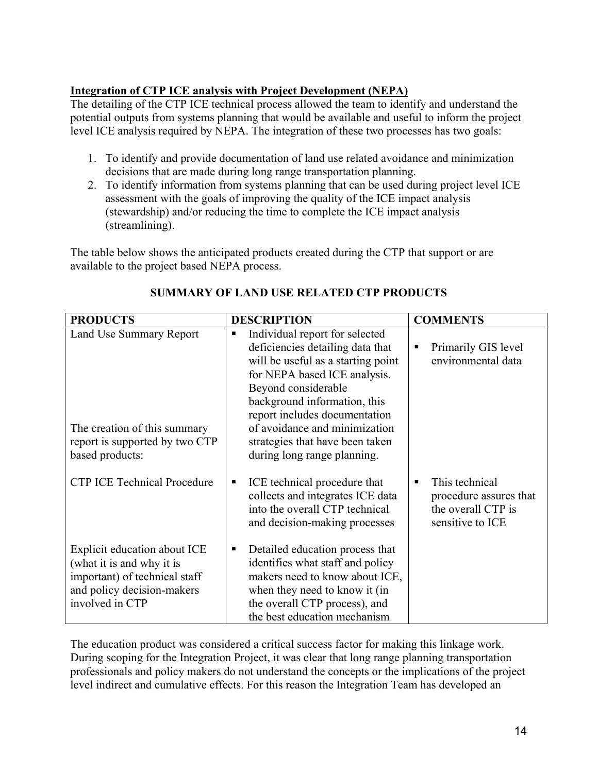### **Integration of CTP ICE analysis with Project Development (NEPA)**

The detailing of the CTP ICE technical process allowed the team to identify and understand the potential outputs from systems planning that would be available and useful to inform the project level ICE analysis required by NEPA. The integration of these two processes has two goals:

- 1. To identify and provide documentation of land use related avoidance and minimization decisions that are made during long range transportation planning.
- 2. To identify information from systems planning that can be used during project level ICE assessment with the goals of improving the quality of the ICE impact analysis (stewardship) and/or reducing the time to complete the ICE impact analysis (streamlining).

The table below shows the anticipated products created during the CTP that support or are available to the project based NEPA process.

| <b>PRODUCTS</b>                               | <b>DESCRIPTION</b>                                                                                                                       | <b>COMMENTS</b>                                                                         |
|-----------------------------------------------|------------------------------------------------------------------------------------------------------------------------------------------|-----------------------------------------------------------------------------------------|
| Land Use Summary Report                       | Individual report for selected<br>٠<br>deficiencies detailing data that                                                                  | Primarily GIS level<br>٠                                                                |
|                                               | will be useful as a starting point                                                                                                       | environmental data                                                                      |
|                                               | for NEPA based ICE analysis.                                                                                                             |                                                                                         |
|                                               | Beyond considerable                                                                                                                      |                                                                                         |
|                                               | background information, this                                                                                                             |                                                                                         |
|                                               | report includes documentation                                                                                                            |                                                                                         |
| The creation of this summary                  | of avoidance and minimization                                                                                                            |                                                                                         |
| report is supported by two CTP                | strategies that have been taken                                                                                                          |                                                                                         |
| based products:                               | during long range planning.                                                                                                              |                                                                                         |
| <b>CTP ICE Technical Procedure</b>            | ICE technical procedure that<br>п<br>collects and integrates ICE data<br>into the overall CTP technical<br>and decision-making processes | This technical<br>٠<br>procedure assures that<br>the overall CTP is<br>sensitive to ICE |
| Explicit education about ICE                  | Detailed education process that<br>п                                                                                                     |                                                                                         |
| (what it is and why it is                     | identifies what staff and policy                                                                                                         |                                                                                         |
| important) of technical staff                 | makers need to know about ICE,                                                                                                           |                                                                                         |
| and policy decision-makers<br>involved in CTP | when they need to know it (in<br>the overall CTP process), and                                                                           |                                                                                         |
|                                               | the best education mechanism                                                                                                             |                                                                                         |

# **SUMMARY OF LAND USE RELATED CTP PRODUCTS**

The education product was considered a critical success factor for making this linkage work. During scoping for the Integration Project, it was clear that long range planning transportation professionals and policy makers do not understand the concepts or the implications of the project level indirect and cumulative effects. For this reason the Integration Team has developed an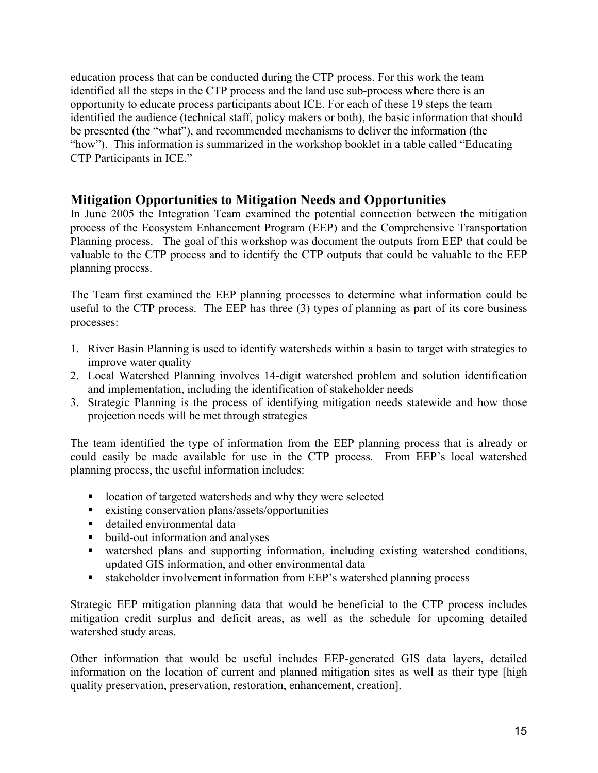education process that can be conducted during the CTP process. For this work the team identified all the steps in the CTP process and the land use sub-process where there is an opportunity to educate process participants about ICE. For each of these 19 steps the team identified the audience (technical staff, policy makers or both), the basic information that should be presented (the "what"), and recommended mechanisms to deliver the information (the "how"). This information is summarized in the workshop booklet in a table called "Educating CTP Participants in ICE."

# **Mitigation Opportunities to Mitigation Needs and Opportunities**

In June 2005 the Integration Team examined the potential connection between the mitigation process of the Ecosystem Enhancement Program (EEP) and the Comprehensive Transportation Planning process. The goal of this workshop was document the outputs from EEP that could be valuable to the CTP process and to identify the CTP outputs that could be valuable to the EEP planning process.

The Team first examined the EEP planning processes to determine what information could be useful to the CTP process. The EEP has three (3) types of planning as part of its core business processes:

- 1. River Basin Planning is used to identify watersheds within a basin to target with strategies to improve water quality
- 2. Local Watershed Planning involves 14-digit watershed problem and solution identification and implementation, including the identification of stakeholder needs
- 3. Strategic Planning is the process of identifying mitigation needs statewide and how those projection needs will be met through strategies

The team identified the type of information from the EEP planning process that is already or could easily be made available for use in the CTP process. From EEP's local watershed planning process, the useful information includes:

- **I.** location of targeted watersheds and why they were selected
- existing conservation plans/assets/opportunities
- detailed environmental data
- build-out information and analyses
- watershed plans and supporting information, including existing watershed conditions, updated GIS information, and other environmental data
- stakeholder involvement information from EEP's watershed planning process

Strategic EEP mitigation planning data that would be beneficial to the CTP process includes mitigation credit surplus and deficit areas, as well as the schedule for upcoming detailed watershed study areas.

Other information that would be useful includes EEP-generated GIS data layers, detailed information on the location of current and planned mitigation sites as well as their type [high quality preservation, preservation, restoration, enhancement, creation].